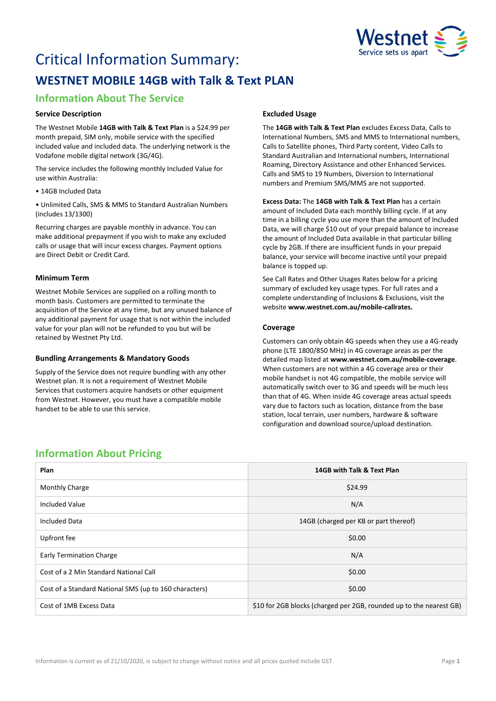

# Critical Information Summary: **WESTNET MOBILE 14GB with Talk & Text PLAN**

# **Information About The Service**

# **Service Description**

The Westnet Mobile **14GB with Talk & Text Plan** is a \$24.99 per month prepaid, SIM only, mobile service with the specified included value and included data. The underlying network is the Vodafone mobile digital network (3G/4G).

The service includes the following monthly Included Value for use within Australia:

• 14GB Included Data

• Unlimited Calls, SMS & MMS to Standard Australian Numbers (includes 13/1300)

Recurring charges are payable monthly in advance. You can make additional prepayment if you wish to make any excluded calls or usage that will incur excess charges. Payment options are Direct Debit or Credit Card.

# **Minimum Term**

Westnet Mobile Services are supplied on a rolling month to month basis. Customers are permitted to terminate the acquisition of the Service at any time, but any unused balance of any additional payment for usage that is not within the included value for your plan will not be refunded to you but will be retained by Westnet Pty Ltd.

### **Bundling Arrangements & Mandatory Goods**

Supply of the Service does not require bundling with any other Westnet plan. It is not a requirement of Westnet Mobile Services that customers acquire handsets or other equipment from Westnet. However, you must have a compatible mobile handset to be able to use this service.

# **Excluded Usage**

The **14GB with Talk & Text Plan** excludes Excess Data, Calls to International Numbers, SMS and MMS to International numbers, Calls to Satellite phones, Third Party content, Video Calls to Standard Australian and International numbers, International Roaming, Directory Assistance and other Enhanced Services. Calls and SMS to 19 Numbers, Diversion to International numbers and Premium SMS/MMS are not supported.

**Excess Data:** The **14GB with Talk & Text Plan** has a certain amount of Included Data each monthly billing cycle. If at any time in a billing cycle you use more than the amount of Included Data, we will charge \$10 out of your prepaid balance to increase the amount of Included Data available in that particular billing cycle by 2GB. If there are insufficient funds in your prepaid balance, your service will become inactive until your prepaid balance is topped up.

See Call Rates and Other Usages Rates below for a pricing summary of excluded key usage types. For full rates and a complete understanding of Inclusions & Exclusions, visit the website **[www.westnet.com.au/mobile-callrates.](http://www.westnet.com.au/mobile-callrates)**

# **Coverage**

Customers can only obtain 4G speeds when they use a 4G-ready phone (LTE 1800/850 MHz) in 4G coverage areas as per the detailed map listed at **[www.westnet.com.au/mobile-coverage](https://www.westnet.com.au/mobile-coverage)**. When customers are not within a 4G coverage area or their mobile handset is not 4G compatible, the mobile service will automatically switch over to 3G and speeds will be much less than that of 4G. When inside 4G coverage areas actual speeds vary due to factors such as location, distance from the base station, local terrain, user numbers, hardware & software configuration and download source/upload destination.

# **Information About Pricing**

| Plan                                                   | 14GB with Talk & Text Plan                                          |
|--------------------------------------------------------|---------------------------------------------------------------------|
| <b>Monthly Charge</b>                                  | \$24.99                                                             |
| <b>Included Value</b>                                  | N/A                                                                 |
| <b>Included Data</b>                                   | 14GB (charged per KB or part thereof)                               |
| Upfront fee                                            | \$0.00                                                              |
| <b>Early Termination Charge</b>                        | N/A                                                                 |
| Cost of a 2 Min Standard National Call                 | \$0.00                                                              |
| Cost of a Standard National SMS (up to 160 characters) | \$0.00                                                              |
| Cost of 1MB Excess Data                                | \$10 for 2GB blocks (charged per 2GB, rounded up to the nearest GB) |